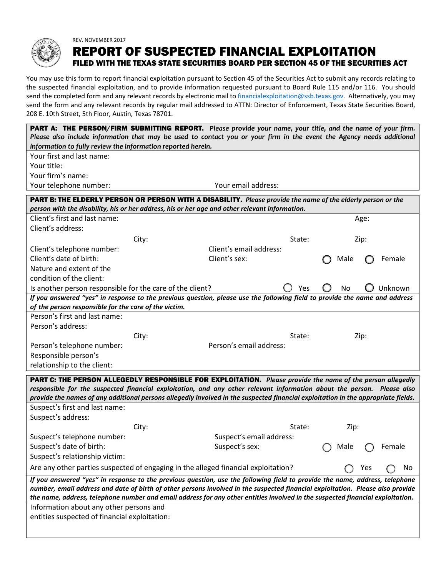

## REV. NOVEMBER 2017 REPORT OF SUSPECTED FINANCIAL EXPLOITATION FILED WITH THE TEXAS STATE SECURITIES BOARD PER SECTION 45 OF THE SECURITIES ACT

You may use this form to report financial exploitation pursuant to Section 45 of the Securities Act to submit any records relating to the suspected financial exploitation, and to provide information requested pursuant to Board Rule 115 and/or 116. You should send the completed form and any relevant records by electron[ic mail to financialexploitation@ssb.te](mailto:financialexploitation@ssb.texas.gov)xas.gov. Alternatively, you may send the form and any relevant records by regular mail addressed to ATTN: Director of Enforcement, Texas State Securities Board, 208 E. 10th Street, 5th Floor, Austin, Texas 78701.

| PART A: THE PERSON/FIRM SUBMITTING REPORT. Please provide your name, your title, and the name of your firm.<br>Please also include information that may be used to contact you or your firm in the event the Agency needs additional<br>information to fully review the information reported herein.                                                                                            |       |                          |        |  |      |      |         |
|-------------------------------------------------------------------------------------------------------------------------------------------------------------------------------------------------------------------------------------------------------------------------------------------------------------------------------------------------------------------------------------------------|-------|--------------------------|--------|--|------|------|---------|
| Your first and last name:                                                                                                                                                                                                                                                                                                                                                                       |       |                          |        |  |      |      |         |
| Your title:                                                                                                                                                                                                                                                                                                                                                                                     |       |                          |        |  |      |      |         |
| Your firm's name:                                                                                                                                                                                                                                                                                                                                                                               |       |                          |        |  |      |      |         |
| Your telephone number:                                                                                                                                                                                                                                                                                                                                                                          |       | Your email address:      |        |  |      |      |         |
| <b>PART B: THE ELDERLY PERSON OR PERSON WITH A DISABILITY.</b> Please provide the name of the elderly person or the                                                                                                                                                                                                                                                                             |       |                          |        |  |      |      |         |
| person with the disability, his or her address, his or her age and other relevant information.                                                                                                                                                                                                                                                                                                  |       |                          |        |  |      |      |         |
| Client's first and last name:                                                                                                                                                                                                                                                                                                                                                                   |       |                          |        |  |      | Age: |         |
| Client's address:                                                                                                                                                                                                                                                                                                                                                                               |       |                          |        |  |      |      |         |
|                                                                                                                                                                                                                                                                                                                                                                                                 | City: |                          | State: |  |      | Zip: |         |
| Client's telephone number:                                                                                                                                                                                                                                                                                                                                                                      |       | Client's email address:  |        |  |      |      |         |
| Client's date of birth:                                                                                                                                                                                                                                                                                                                                                                         |       | Client's sex:            |        |  | Male |      | Female  |
| Nature and extent of the                                                                                                                                                                                                                                                                                                                                                                        |       |                          |        |  |      |      |         |
| condition of the client:                                                                                                                                                                                                                                                                                                                                                                        |       |                          |        |  |      |      |         |
| Is another person responsible for the care of the client?                                                                                                                                                                                                                                                                                                                                       |       |                          | Yes    |  | No   |      | Unknown |
| If you answered "yes" in response to the previous question, please use the following field to provide the name and address<br>of the person responsible for the care of the victim.                                                                                                                                                                                                             |       |                          |        |  |      |      |         |
| Person's first and last name:                                                                                                                                                                                                                                                                                                                                                                   |       |                          |        |  |      |      |         |
| Person's address:                                                                                                                                                                                                                                                                                                                                                                               |       |                          |        |  |      |      |         |
|                                                                                                                                                                                                                                                                                                                                                                                                 | City: |                          | State: |  |      | Zip: |         |
| Person's telephone number:                                                                                                                                                                                                                                                                                                                                                                      |       | Person's email address:  |        |  |      |      |         |
| Responsible person's                                                                                                                                                                                                                                                                                                                                                                            |       |                          |        |  |      |      |         |
| relationship to the client:                                                                                                                                                                                                                                                                                                                                                                     |       |                          |        |  |      |      |         |
| PART C: THE PERSON ALLEGEDLY RESPONSIBLE FOR EXPLOITATION. Please provide the name of the person allegedly                                                                                                                                                                                                                                                                                      |       |                          |        |  |      |      |         |
| responsible for the suspected financial exploitation, and any other relevant information about the person. Please also                                                                                                                                                                                                                                                                          |       |                          |        |  |      |      |         |
| provide the names of any additional persons allegedly involved in the suspected financial exploitation in the appropriate fields.                                                                                                                                                                                                                                                               |       |                          |        |  |      |      |         |
| Suspect's first and last name:                                                                                                                                                                                                                                                                                                                                                                  |       |                          |        |  |      |      |         |
| Suspect's address:                                                                                                                                                                                                                                                                                                                                                                              |       |                          |        |  |      |      |         |
|                                                                                                                                                                                                                                                                                                                                                                                                 | City: |                          | State: |  | Zip: |      |         |
| Suspect's telephone number:                                                                                                                                                                                                                                                                                                                                                                     |       | Suspect's email address: |        |  |      |      |         |
| Suspect's date of birth:                                                                                                                                                                                                                                                                                                                                                                        |       | Suspect's sex:           |        |  | Male |      | Female  |
| Suspect's relationship victim:                                                                                                                                                                                                                                                                                                                                                                  |       |                          |        |  |      |      |         |
| Are any other parties suspected of engaging in the alleged financial exploitation?                                                                                                                                                                                                                                                                                                              |       |                          |        |  |      | Yes  | No      |
| If you answered "yes" in response to the previous question, use the following field to provide the name, address, telephone<br>number, email address and date of birth of other persons involved in the suspected financial exploitation. Please also provide<br>the name, address, telephone number and email address for any other entities involved in the suspected financial exploitation. |       |                          |        |  |      |      |         |
| Information about any other persons and                                                                                                                                                                                                                                                                                                                                                         |       |                          |        |  |      |      |         |
| entities suspected of financial exploitation:                                                                                                                                                                                                                                                                                                                                                   |       |                          |        |  |      |      |         |
|                                                                                                                                                                                                                                                                                                                                                                                                 |       |                          |        |  |      |      |         |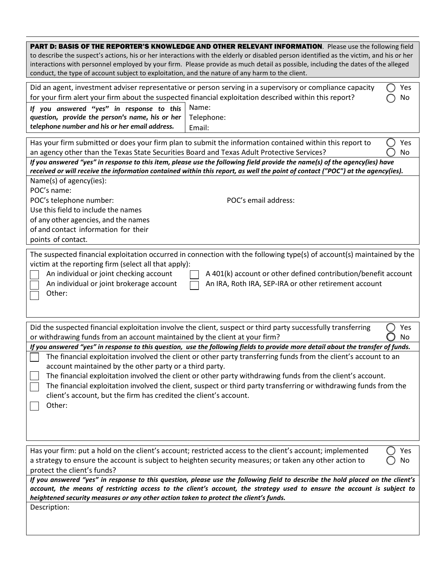| PART D: BASIS OF THE REPORTER'S KNOWLEDGE AND OTHER RELEVANT INFORMATION. Please use the following field<br>to describe the suspect's actions, his or her interactions with the elderly or disabled person identified as the victim, and his or her<br>interactions with personnel employed by your firm. Please provide as much detail as possible, including the dates of the alleged<br>conduct, the type of account subject to exploitation, and the nature of any harm to the client.                                                                                                                                                                                                                                                                                                                                                     |  |  |  |  |  |  |  |
|------------------------------------------------------------------------------------------------------------------------------------------------------------------------------------------------------------------------------------------------------------------------------------------------------------------------------------------------------------------------------------------------------------------------------------------------------------------------------------------------------------------------------------------------------------------------------------------------------------------------------------------------------------------------------------------------------------------------------------------------------------------------------------------------------------------------------------------------|--|--|--|--|--|--|--|
| Did an agent, investment adviser representative or person serving in a supervisory or compliance capacity<br>Yes<br>for your firm alert your firm about the suspected financial exploitation described within this report?<br>No<br>Name:<br>If you answered "yes" in response to this<br>question, provide the person's name, his or her<br>Telephone:<br>telephone number and his or her email address.<br>Email:                                                                                                                                                                                                                                                                                                                                                                                                                            |  |  |  |  |  |  |  |
| Has your firm submitted or does your firm plan to submit the information contained within this report to<br>Yes<br>an agency other than the Texas State Securities Board and Texas Adult Protective Services?<br>No<br>If you answered "yes" in response to this item, please use the following field provide the name(s) of the agency(ies) have<br>received or will receive the information contained within this report, as well the point of contact ("POC") at the agency(ies).<br>Name(s) of agency(ies):<br>POC's name:<br>POC's telephone number:<br>POC's email address:<br>Use this field to include the names<br>of any other agencies, and the names<br>of and contact information for their<br>points of contact.                                                                                                                 |  |  |  |  |  |  |  |
| The suspected financial exploitation occurred in connection with the following type(s) of account(s) maintained by the<br>victim at the reporting firm (select all that apply):<br>An individual or joint checking account<br>A 401(k) account or other defined contribution/benefit account<br>An individual or joint brokerage account<br>An IRA, Roth IRA, SEP-IRA or other retirement account<br>Other:                                                                                                                                                                                                                                                                                                                                                                                                                                    |  |  |  |  |  |  |  |
| Did the suspected financial exploitation involve the client, suspect or third party successfully transferring<br>Yes<br>or withdrawing funds from an account maintained by the client at your firm?<br>No<br>If you answered "yes" in response to this question, use the following fields to provide more detail about the transfer of funds.<br>The financial exploitation involved the client or other party transferring funds from the client's account to an<br>account maintained by the other party or a third party.<br>The financial exploitation involved the client or other party withdrawing funds from the client's account.<br>The financial exploitation involved the client, suspect or third party transferring or withdrawing funds from the<br>client's account, but the firm has credited the client's account.<br>Other: |  |  |  |  |  |  |  |
| Has your firm: put a hold on the client's account; restricted access to the client's account; implemented<br>Yes<br>a strategy to ensure the account is subject to heighten security measures; or taken any other action to<br>No<br>protect the client's funds?<br>If you answered "yes" in response to this question, please use the following field to describe the hold placed on the client's<br>account, the means of restricting access to the client's account, the strategy used to ensure the account is subject to<br>heightened security measures or any other action taken to protect the client's funds.<br>Description:                                                                                                                                                                                                         |  |  |  |  |  |  |  |